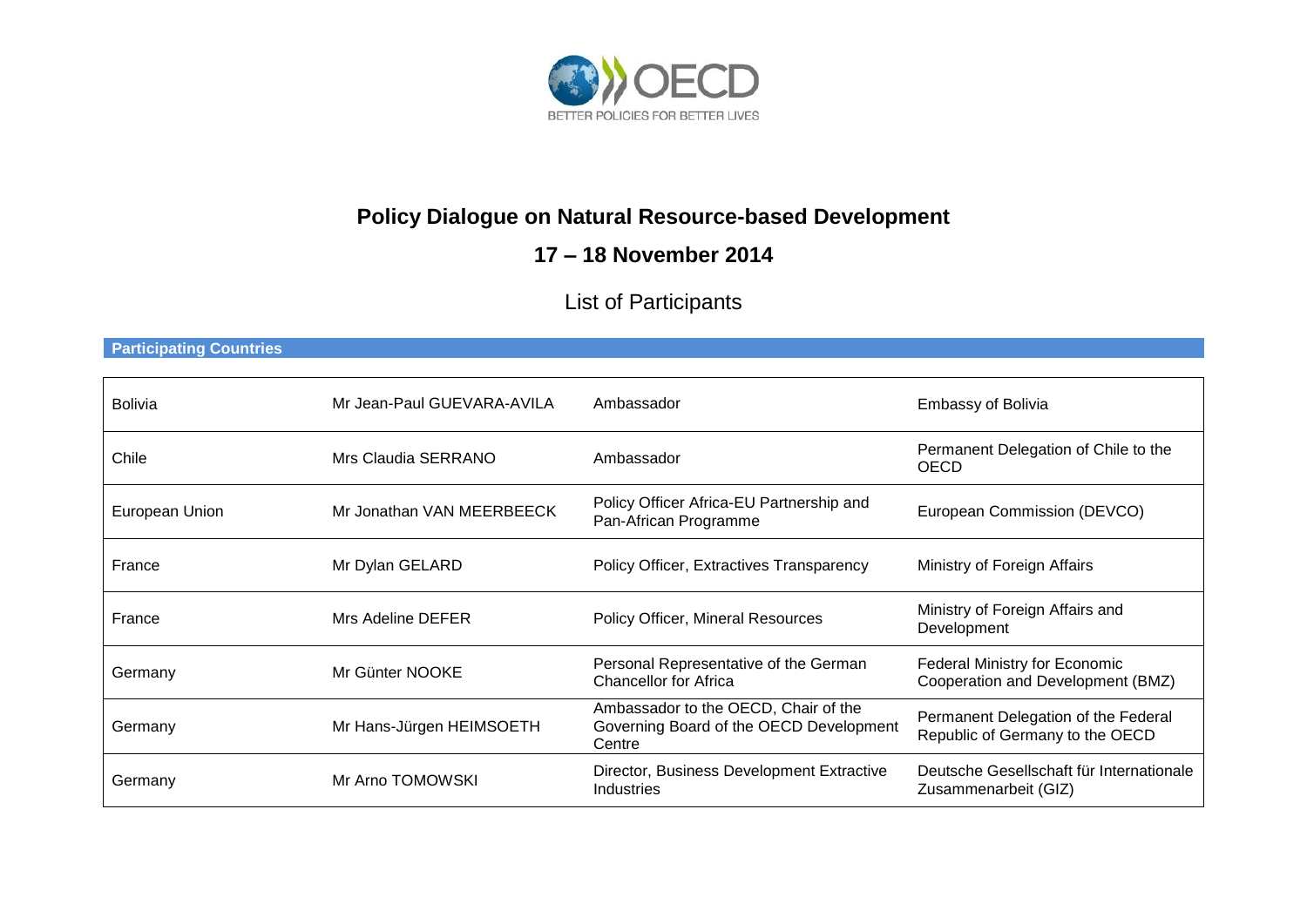

# **Policy Dialogue on Natural Resource-based Development**

## **17 – 18 November 2014**

# List of Participants

#### **Participating Countries**

| <b>Bolivia</b> | Mr Jean-Paul GUEVARA-AVILA | Ambassador                                                                                | <b>Embassy of Bolivia</b>                                              |
|----------------|----------------------------|-------------------------------------------------------------------------------------------|------------------------------------------------------------------------|
| Chile          | Mrs Claudia SERRANO        | Ambassador                                                                                | Permanent Delegation of Chile to the<br><b>OECD</b>                    |
| European Union | Mr Jonathan VAN MEERBEECK  | Policy Officer Africa-EU Partnership and<br>Pan-African Programme                         | European Commission (DEVCO)                                            |
| France         | Mr Dylan GELARD            | <b>Policy Officer, Extractives Transparency</b>                                           | Ministry of Foreign Affairs                                            |
| France         | Mrs Adeline DEFER          | Policy Officer, Mineral Resources                                                         | Ministry of Foreign Affairs and<br>Development                         |
| Germany        | Mr Günter NOOKE            | Personal Representative of the German<br><b>Chancellor for Africa</b>                     | Federal Ministry for Economic<br>Cooperation and Development (BMZ)     |
| Germany        | Mr Hans-Jürgen HEIMSOETH   | Ambassador to the OECD, Chair of the<br>Governing Board of the OECD Development<br>Centre | Permanent Delegation of the Federal<br>Republic of Germany to the OECD |
| Germany        | Mr Arno TOMOWSKI           | Director, Business Development Extractive<br><b>Industries</b>                            | Deutsche Gesellschaft für Internationale<br>Zusammenarbeit (GIZ)       |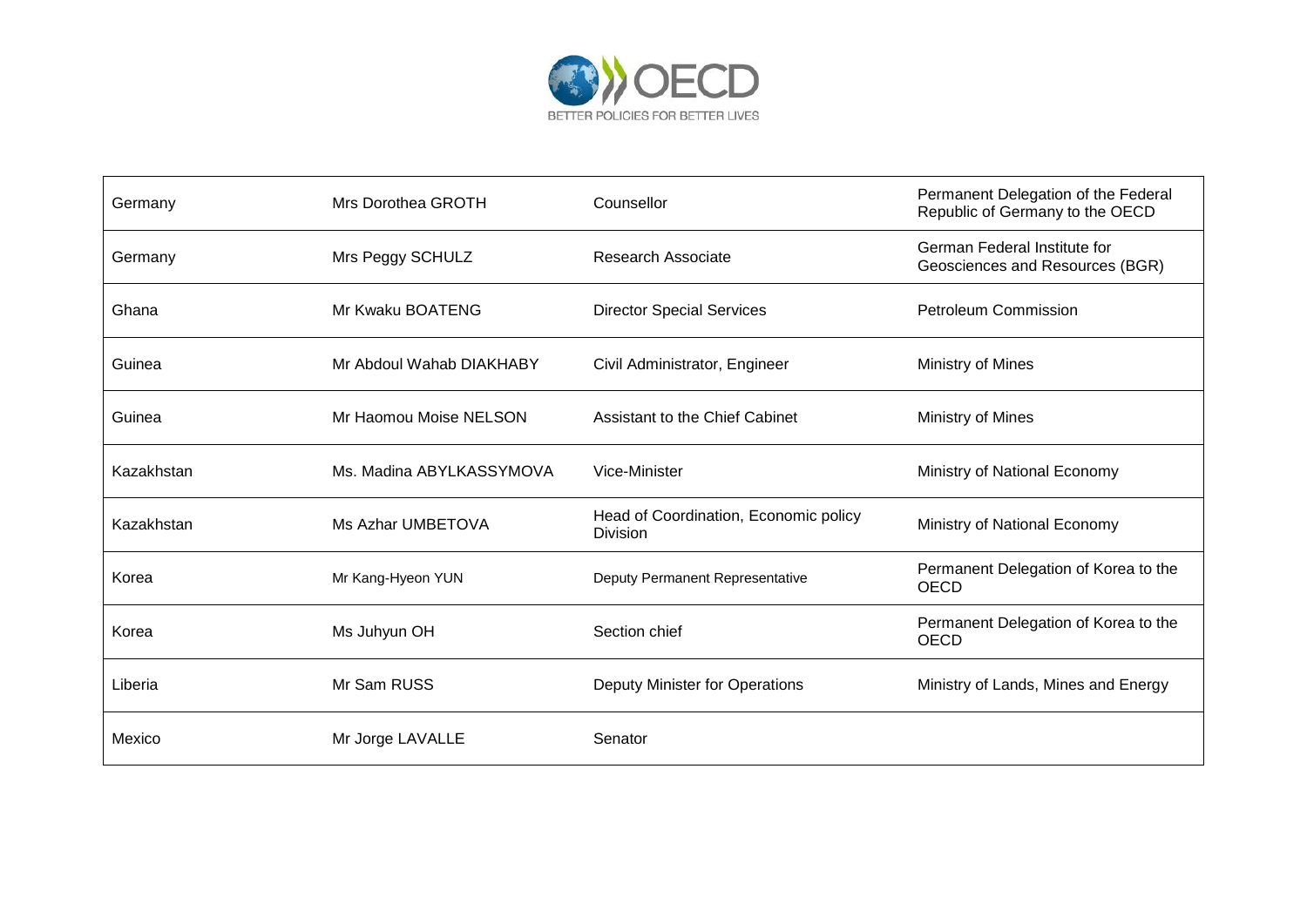

| Germany    | Mrs Dorothea GROTH       | Counsellor                                        | Permanent Delegation of the Federal<br>Republic of Germany to the OECD |
|------------|--------------------------|---------------------------------------------------|------------------------------------------------------------------------|
| Germany    | Mrs Peggy SCHULZ         | Research Associate                                | German Federal Institute for<br>Geosciences and Resources (BGR)        |
| Ghana      | Mr Kwaku BOATENG         | <b>Director Special Services</b>                  | <b>Petroleum Commission</b>                                            |
| Guinea     | Mr Abdoul Wahab DIAKHABY | Civil Administrator, Engineer                     | Ministry of Mines                                                      |
| Guinea     | Mr Haomou Moise NELSON   | Assistant to the Chief Cabinet                    | Ministry of Mines                                                      |
| Kazakhstan | Ms. Madina ABYLKASSYMOVA | Vice-Minister                                     | Ministry of National Economy                                           |
| Kazakhstan | Ms Azhar UMBETOVA        | Head of Coordination, Economic policy<br>Division | Ministry of National Economy                                           |
| Korea      | Mr Kang-Hyeon YUN        | Deputy Permanent Representative                   | Permanent Delegation of Korea to the<br><b>OECD</b>                    |
| Korea      | Ms Juhyun OH             | Section chief                                     | Permanent Delegation of Korea to the<br><b>OECD</b>                    |
| Liberia    | Mr Sam RUSS              | Deputy Minister for Operations                    | Ministry of Lands, Mines and Energy                                    |
| Mexico     | Mr Jorge LAVALLE         | Senator                                           |                                                                        |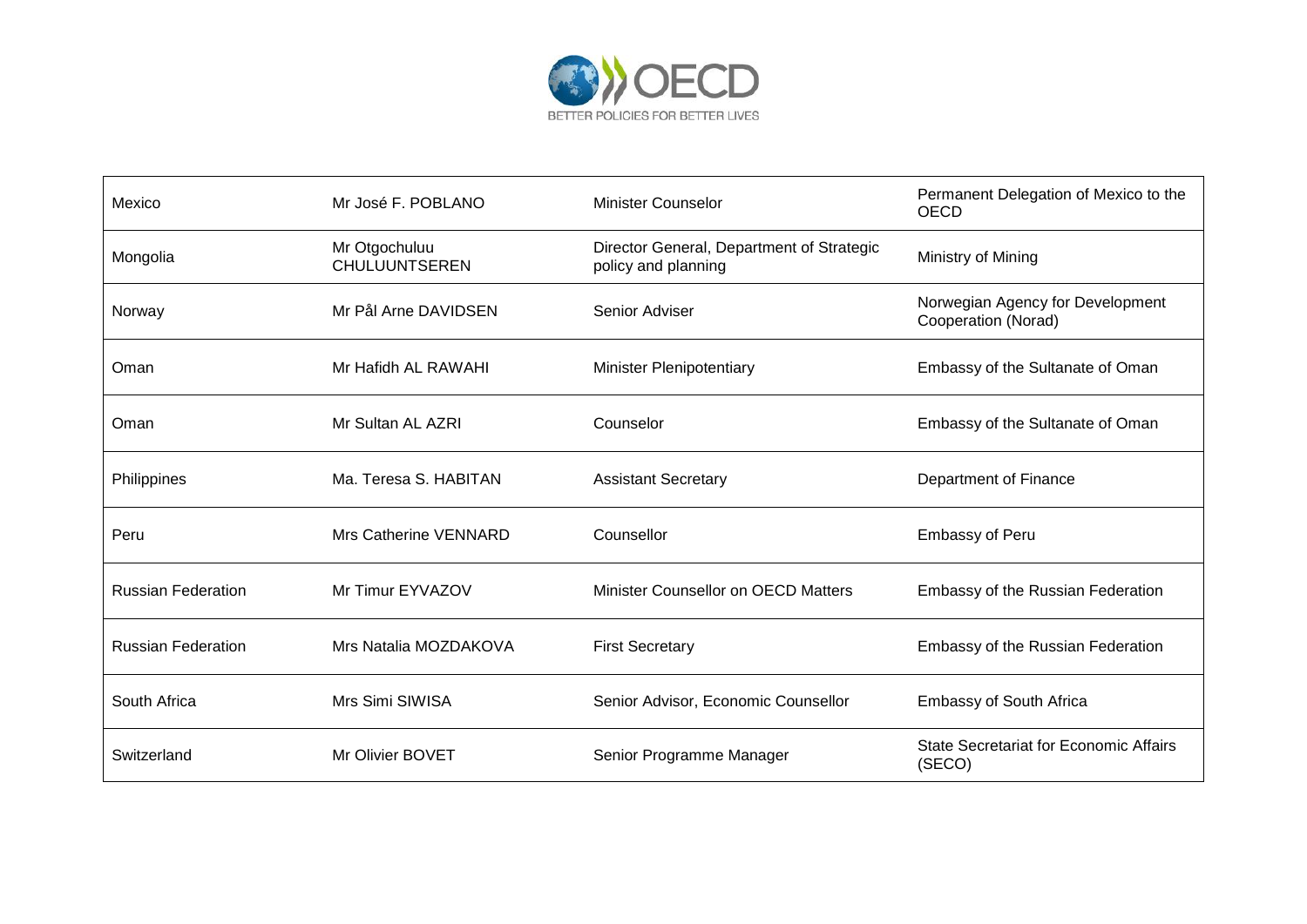

| Mexico                    | Mr José F. POBLANO                    | <b>Minister Counselor</b>                                        | Permanent Delegation of Mexico to the<br><b>OECD</b>    |
|---------------------------|---------------------------------------|------------------------------------------------------------------|---------------------------------------------------------|
| Mongolia                  | Mr Otgochuluu<br><b>CHULUUNTSEREN</b> | Director General, Department of Strategic<br>policy and planning | Ministry of Mining                                      |
| Norway                    | Mr Pål Arne DAVIDSEN                  | Senior Adviser                                                   | Norwegian Agency for Development<br>Cooperation (Norad) |
| Oman                      | Mr Hafidh AL RAWAHI                   | <b>Minister Plenipotentiary</b>                                  | Embassy of the Sultanate of Oman                        |
| Oman                      | Mr Sultan AL AZRI                     | Counselor                                                        | Embassy of the Sultanate of Oman                        |
| Philippines               | Ma. Teresa S. HABITAN                 | <b>Assistant Secretary</b>                                       | Department of Finance                                   |
| Peru                      | Mrs Catherine VENNARD                 | Counsellor                                                       | <b>Embassy of Peru</b>                                  |
| <b>Russian Federation</b> | Mr Timur EYVAZOV                      | Minister Counsellor on OECD Matters                              | Embassy of the Russian Federation                       |
| <b>Russian Federation</b> | Mrs Natalia MOZDAKOVA                 | <b>First Secretary</b>                                           | <b>Embassy of the Russian Federation</b>                |
| South Africa              | Mrs Simi SIWISA                       | Senior Advisor, Economic Counsellor                              | <b>Embassy of South Africa</b>                          |
| Switzerland               | Mr Olivier BOVET                      | Senior Programme Manager                                         | <b>State Secretariat for Economic Affairs</b><br>(SECO) |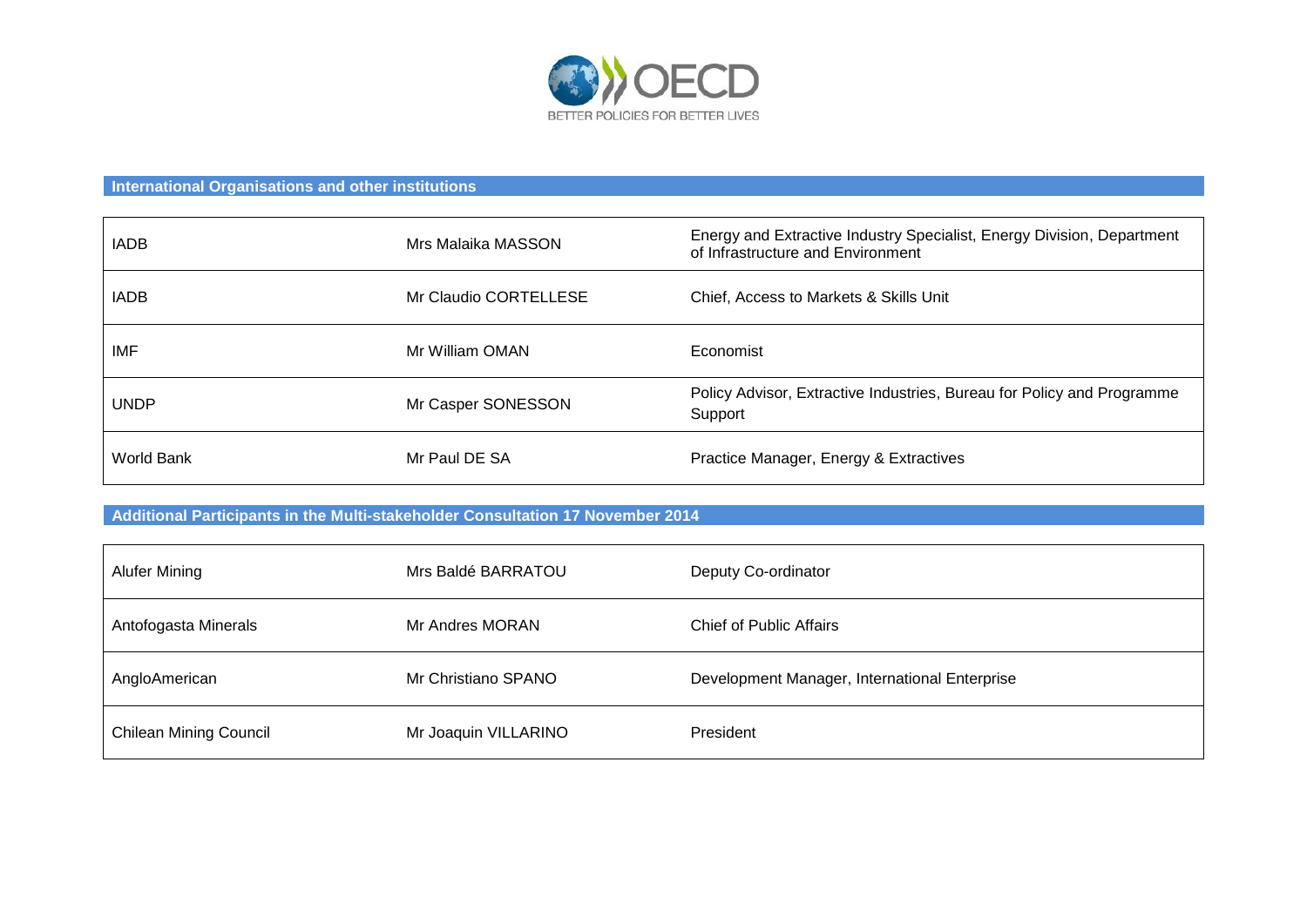

### **International Organisations and other institutions**

| <b>IADB</b> | Mrs Malaika MASSON    | Energy and Extractive Industry Specialist, Energy Division, Department<br>of Infrastructure and Environment |
|-------------|-----------------------|-------------------------------------------------------------------------------------------------------------|
| <b>IADB</b> | Mr Claudio CORTELLESE | Chief, Access to Markets & Skills Unit                                                                      |
| <b>IMF</b>  | Mr William OMAN       | Economist                                                                                                   |
| <b>UNDP</b> | Mr Casper SONESSON    | Policy Advisor, Extractive Industries, Bureau for Policy and Programme<br>Support                           |
| World Bank  | Mr Paul DE SA         | Practice Manager, Energy & Extractives                                                                      |

## **Additional Participants in the Multi-stakeholder Consultation 17 November 2014**

| Alufer Mining                 | Mrs Baldé BARRATOU   | Deputy Co-ordinator                           |
|-------------------------------|----------------------|-----------------------------------------------|
| Antofogasta Minerals          | Mr Andres MORAN      | <b>Chief of Public Affairs</b>                |
| AngloAmerican                 | Mr Christiano SPANO  | Development Manager, International Enterprise |
| <b>Chilean Mining Council</b> | Mr Joaquin VILLARINO | President                                     |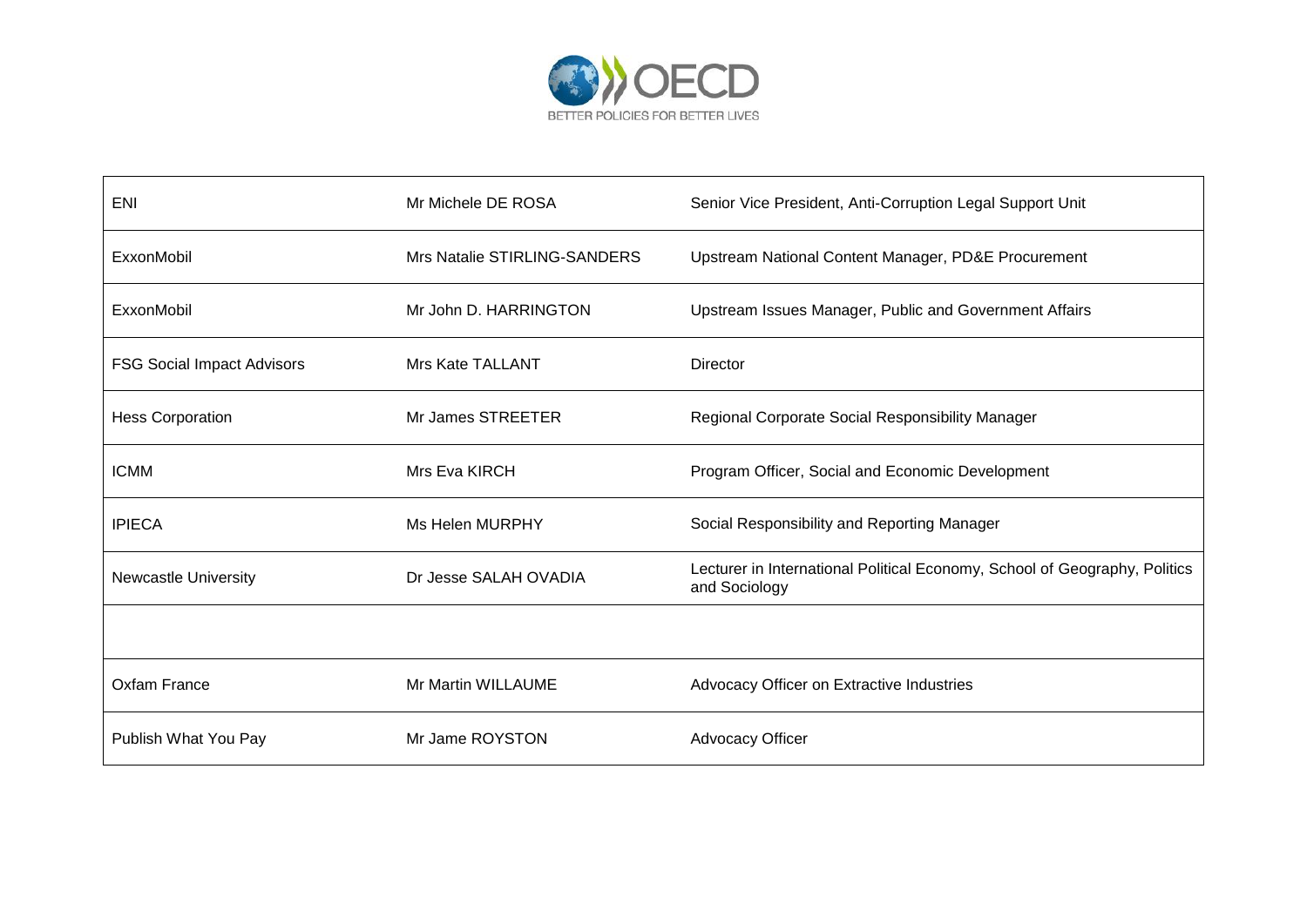

| <b>ENI</b>                        | Mr Michele DE ROSA           | Senior Vice President, Anti-Corruption Legal Support Unit                                   |
|-----------------------------------|------------------------------|---------------------------------------------------------------------------------------------|
| ExxonMobil                        | Mrs Natalie STIRLING-SANDERS | Upstream National Content Manager, PD&E Procurement                                         |
| ExxonMobil                        | Mr John D. HARRINGTON        | Upstream Issues Manager, Public and Government Affairs                                      |
| <b>FSG Social Impact Advisors</b> | Mrs Kate TALLANT             | Director                                                                                    |
| <b>Hess Corporation</b>           | Mr James STREETER            | Regional Corporate Social Responsibility Manager                                            |
| <b>ICMM</b>                       | Mrs Eva KIRCH                | Program Officer, Social and Economic Development                                            |
| <b>IPIECA</b>                     | Ms Helen MURPHY              | Social Responsibility and Reporting Manager                                                 |
| <b>Newcastle University</b>       | Dr Jesse SALAH OVADIA        | Lecturer in International Political Economy, School of Geography, Politics<br>and Sociology |
|                                   |                              |                                                                                             |
| Oxfam France                      | Mr Martin WILLAUME           | Advocacy Officer on Extractive Industries                                                   |
| Publish What You Pay              | Mr Jame ROYSTON              | <b>Advocacy Officer</b>                                                                     |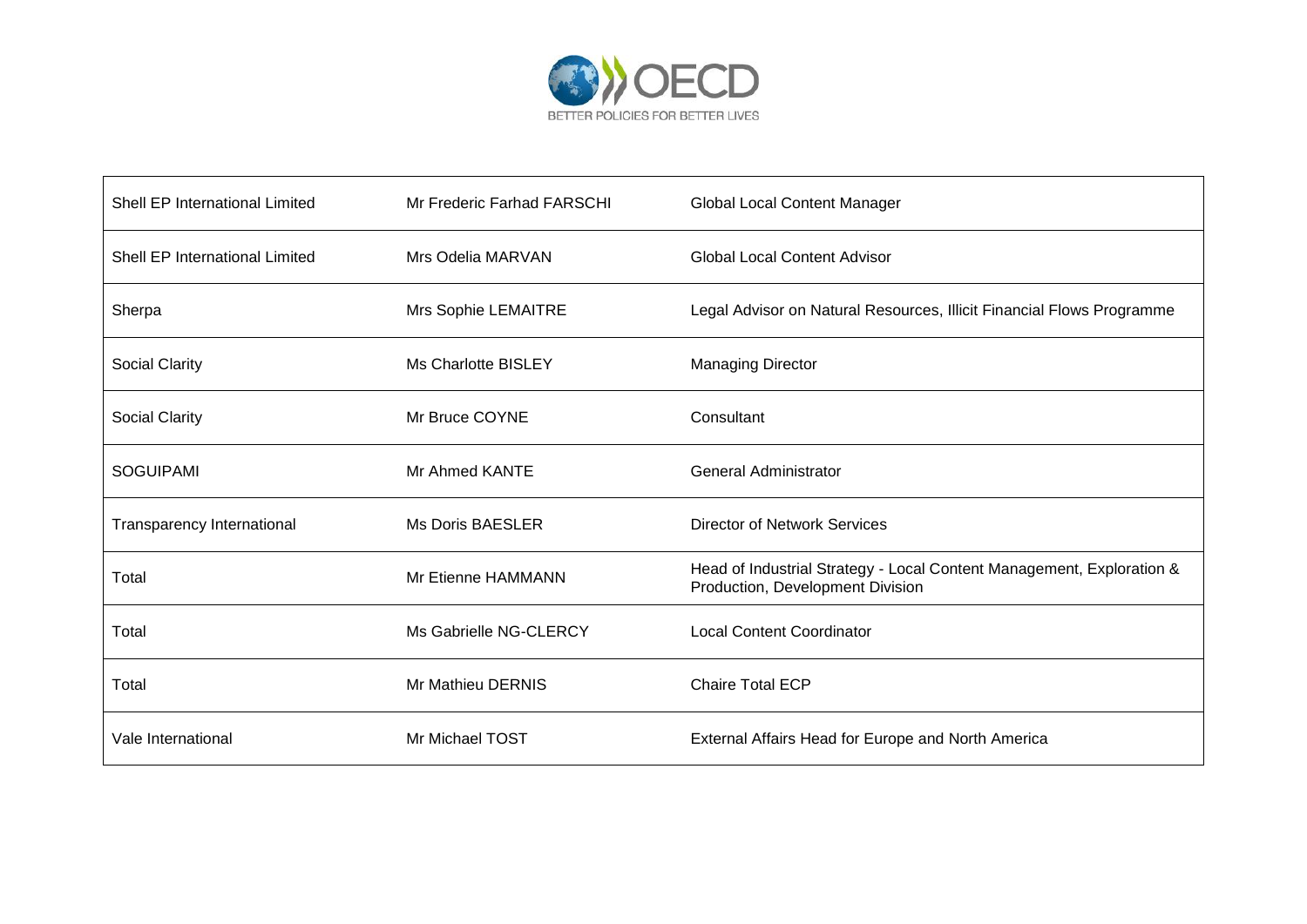

| Shell EP International Limited | Mr Frederic Farhad FARSCHI | <b>Global Local Content Manager</b>                                                                       |
|--------------------------------|----------------------------|-----------------------------------------------------------------------------------------------------------|
| Shell EP International Limited | Mrs Odelia MARVAN          | <b>Global Local Content Advisor</b>                                                                       |
| Sherpa                         | Mrs Sophie LEMAITRE        | Legal Advisor on Natural Resources, Illicit Financial Flows Programme                                     |
| Social Clarity                 | Ms Charlotte BISLEY        | <b>Managing Director</b>                                                                                  |
| <b>Social Clarity</b>          | Mr Bruce COYNE             | Consultant                                                                                                |
| <b>SOGUIPAMI</b>               | Mr Ahmed KANTE             | <b>General Administrator</b>                                                                              |
| Transparency International     | <b>Ms Doris BAESLER</b>    | <b>Director of Network Services</b>                                                                       |
| Total                          | Mr Etienne HAMMANN         | Head of Industrial Strategy - Local Content Management, Exploration &<br>Production, Development Division |
| Total                          | Ms Gabrielle NG-CLERCY     | <b>Local Content Coordinator</b>                                                                          |
| Total                          | Mr Mathieu DERNIS          | Chaire Total ECP                                                                                          |
| Vale International             | Mr Michael TOST            | External Affairs Head for Europe and North America                                                        |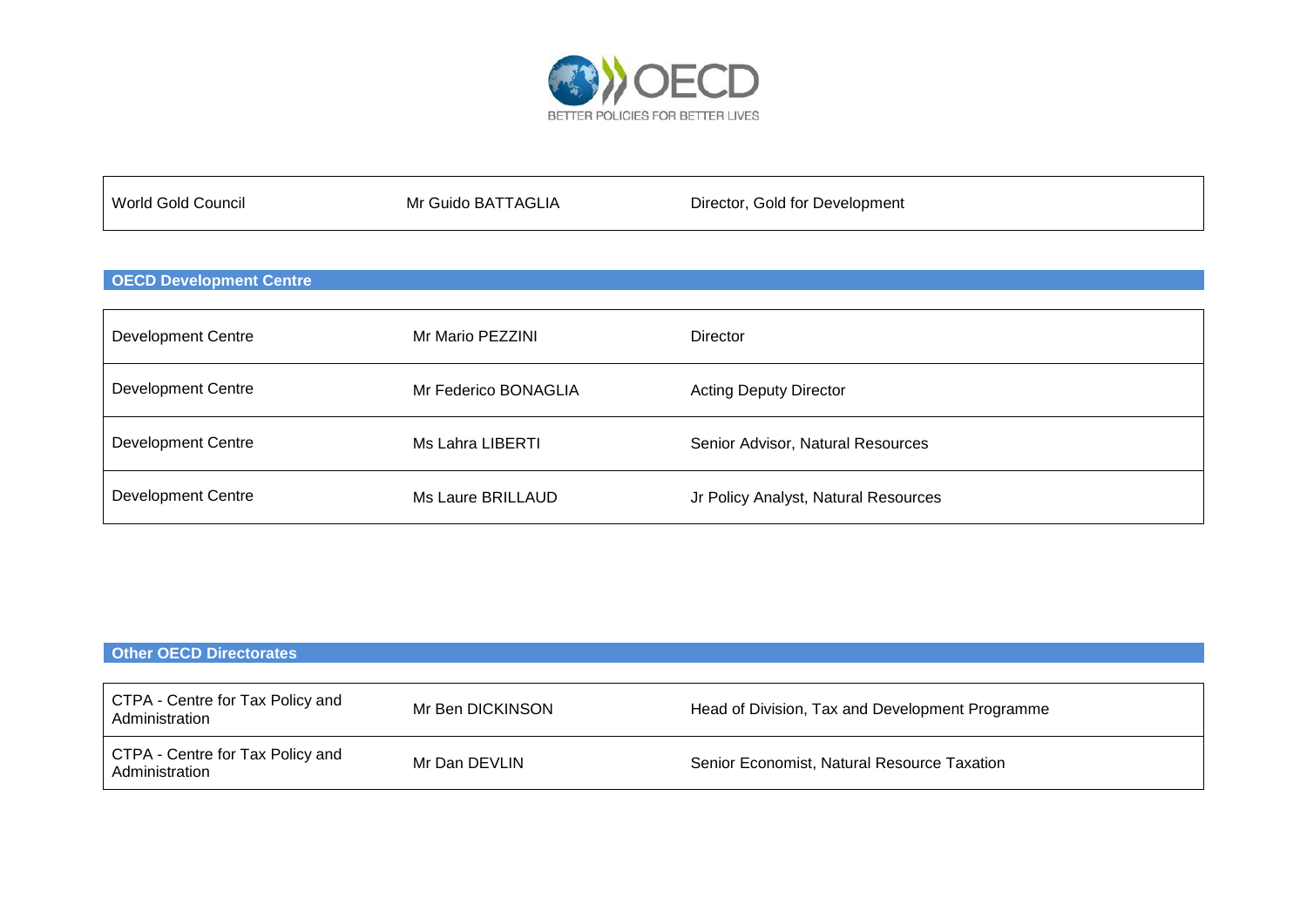

| World Gold Council | Mr Guido BATTAGLIA | Director, Gold for Development |
|--------------------|--------------------|--------------------------------|
|                    |                    |                                |

### **OECD Development Centre**

| <b>Development Centre</b> | Mr Mario PEZZINI     | <b>Director</b>                      |
|---------------------------|----------------------|--------------------------------------|
| <b>Development Centre</b> | Mr Federico BONAGLIA | <b>Acting Deputy Director</b>        |
| <b>Development Centre</b> | Ms Lahra LIBERTI     | Senior Advisor, Natural Resources    |
| <b>Development Centre</b> | Ms Laure BRILLAUD    | Jr Policy Analyst, Natural Resources |

| <b>Other OECD Directorates</b>                     |                  |                                                 |
|----------------------------------------------------|------------------|-------------------------------------------------|
|                                                    |                  |                                                 |
| CTPA - Centre for Tax Policy and<br>Administration | Mr Ben DICKINSON | Head of Division, Tax and Development Programme |
| CTPA - Centre for Tax Policy and<br>Administration | Mr Dan DEVLIN    | Senior Economist, Natural Resource Taxation     |